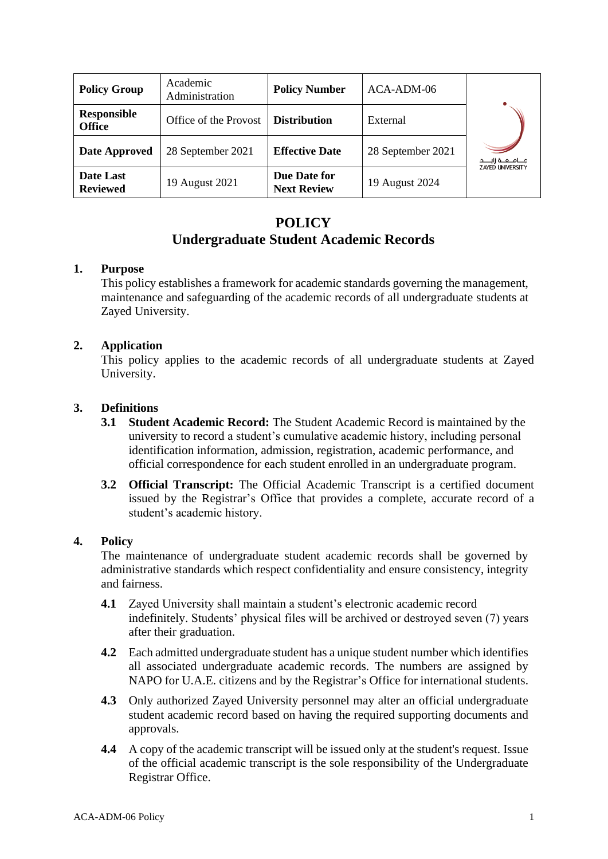| <b>Policy Group</b>                 | Academic<br>Administration | <b>Policy Number</b>               | ACA-ADM-06        | جـــامــعــة زايــــد<br>ZAYED UNIVERSITY |
|-------------------------------------|----------------------------|------------------------------------|-------------------|-------------------------------------------|
| <b>Responsible</b><br><b>Office</b> | Office of the Provost      | <b>Distribution</b>                | External          |                                           |
| Date Approved                       | 28 September 2021          | <b>Effective Date</b>              | 28 September 2021 |                                           |
| Date Last<br><b>Reviewed</b>        | 19 August 2021             | Due Date for<br><b>Next Review</b> | 19 August 2024    |                                           |

# **POLICY Undergraduate Student Academic Records**

## **1. Purpose**

This policy establishes a framework for academic standards governing the management, maintenance and safeguarding of the academic records of all undergraduate students at Zayed University.

## **2. Application**

This policy applies to the academic records of all undergraduate students at Zayed University.

## **3. Definitions**

- **3.1 Student Academic Record:** The Student Academic Record is maintained by the university to record a student's cumulative academic history, including personal identification information, admission, registration, academic performance, and official correspondence for each student enrolled in an undergraduate program.
- **3.2 Official Transcript:** The Official Academic Transcript is a certified document issued by the Registrar's Office that provides a complete, accurate record of a student's academic history.

### **4. Policy**

The maintenance of undergraduate student academic records shall be governed by administrative standards which respect confidentiality and ensure consistency, integrity and fairness.

- **4.1** Zayed University shall maintain a student's electronic academic record indefinitely. Students' physical files will be archived or destroyed seven (7) years after their graduation.
- **4.2** Each admitted undergraduate student has a unique student number which identifies all associated undergraduate academic records. The numbers are assigned by NAPO for U.A.E. citizens and by the Registrar's Office for international students.
- **4.3** Only authorized Zayed University personnel may alter an official undergraduate student academic record based on having the required supporting documents and approvals.
- **4.4** A copy of the academic transcript will be issued only at the student's request. Issue of the official academic transcript is the sole responsibility of the Undergraduate Registrar Office.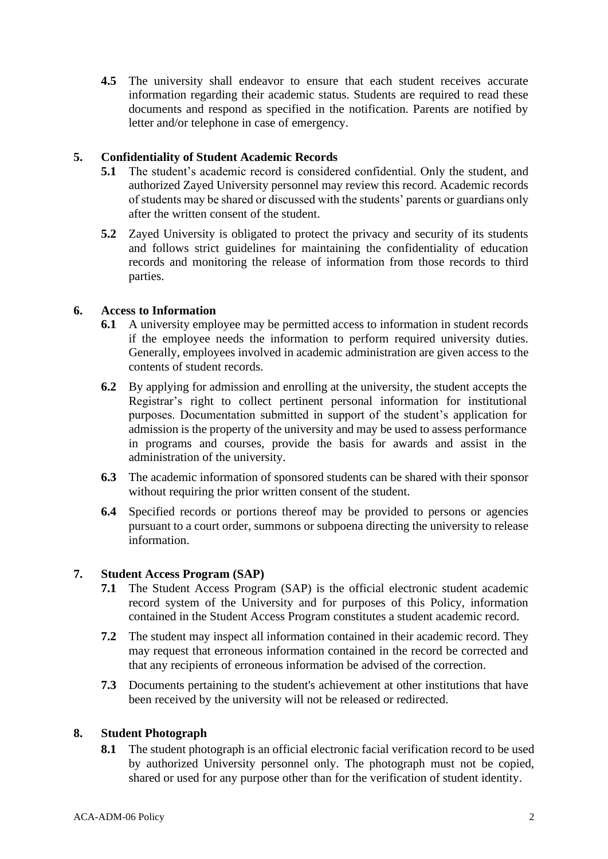**4.5** The university shall endeavor to ensure that each student receives accurate information regarding their academic status. Students are required to read these documents and respond as specified in the notification. Parents are notified by letter and/or telephone in case of emergency.

## **5. Confidentiality of Student Academic Records**

- **5.1** The student's academic record is considered confidential. Only the student, and authorized Zayed University personnel may review this record. Academic records of students may be shared or discussed with the students' parents or guardians only after the written consent of the student.
- **5.2** Zayed University is obligated to protect the privacy and security of its students and follows strict guidelines for maintaining the confidentiality of education records and monitoring the release of information from those records to third parties.

## **6. Access to Information**

- **6.1** A university employee may be permitted access to information in student records if the employee needs the information to perform required university duties. Generally, employees involved in academic administration are given access to the contents of student records.
- **6.2** By applying for admission and enrolling at the university, the student accepts the Registrar's right to collect pertinent personal information for institutional purposes. Documentation submitted in support of the student's application for admission is the property of the university and may be used to assess performance in programs and courses, provide the basis for awards and assist in the administration of the university.
- **6.3** The academic information of sponsored students can be shared with their sponsor without requiring the prior written consent of the student.
- **6.4** Specified records or portions thereof may be provided to persons or agencies pursuant to a court order, summons or subpoena directing the university to release information.

#### **7. Student Access Program (SAP)**

- **7.1** The Student Access Program (SAP) is the official electronic student academic record system of the University and for purposes of this Policy, information contained in the Student Access Program constitutes a student academic record.
- **7.2** The student may inspect all information contained in their academic record. They may request that erroneous information contained in the record be corrected and that any recipients of erroneous information be advised of the correction.
- **7.3** Documents pertaining to the student's achievement at other institutions that have been received by the university will not be released or redirected.

### **8. Student Photograph**

**8.1** The student photograph is an official electronic facial verification record to be used by authorized University personnel only. The photograph must not be copied, shared or used for any purpose other than for the verification of student identity.